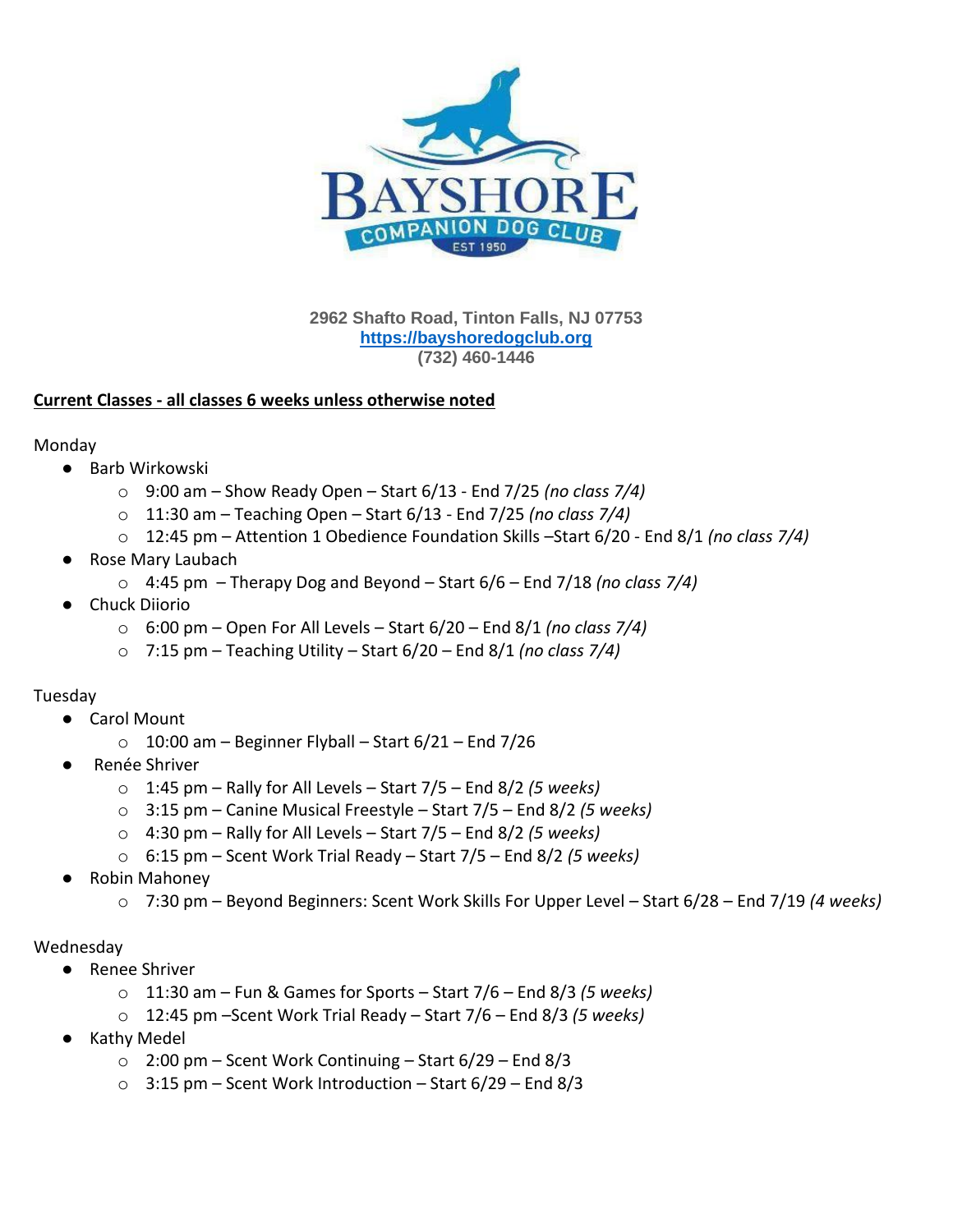

**2962 Shafto Road, Tinton Falls, NJ 07753 [https://bayshoredogclub.org](https://bayshoredogclub.org/) (732) 460-1446**

# **Current Classes - all classes 6 weeks unless otherwise noted**

Monday

- Barb Wirkowski
	- o 9:00 am Show Ready Open Start 6/13 End 7/25 *(no class 7/4)*
	- o 11:30 am Teaching Open Start 6/13 End 7/25 *(no class 7/4)*
	- o 12:45 pm Attention 1 Obedience Foundation Skills –Start 6/20 End 8/1 *(no class 7/4)*
- Rose Mary Laubach
	- o 4:45 pm Therapy Dog and Beyond Start 6/6 End 7/18 *(no class 7/4)*
- Chuck Diiorio
	- o 6:00 pm Open For All Levels Start 6/20 End 8/1 *(no class 7/4)*
	- o 7:15 pm Teaching Utility Start 6/20 End 8/1 *(no class 7/4)*

## Tuesday

- Carol Mount
	- $\circ$  10:00 am Beginner Flyball Start 6/21 End 7/26
- Renée Shriver
	- o 1:45 pm Rally for All Levels Start 7/5 End 8/2 *(5 weeks)*
	- o 3:15 pm Canine Musical Freestyle Start 7/5 End 8/2 *(5 weeks)*
	- o 4:30 pm Rally for All Levels Start 7/5 End 8/2 *(5 weeks)*
	- o 6:15 pm Scent Work Trial Ready Start 7/5 End 8/2 *(5 weeks)*
- Robin Mahoney
	- o 7:30 pm Beyond Beginners: Scent Work Skills For Upper Level Start 6/28 End 7/19 *(4 weeks)*

## Wednesday

- Renee Shriver
	- o 11:30 am Fun & Games for Sports Start 7/6 End 8/3 *(5 weeks)*
	- o 12:45 pm –Scent Work Trial Ready Start 7/6 End 8/3 *(5 weeks)*
- **Kathy Medel** 
	- $\circ$  2:00 pm Scent Work Continuing Start 6/29 End 8/3
	- $\circ$  3:15 pm Scent Work Introduction Start 6/29 End 8/3